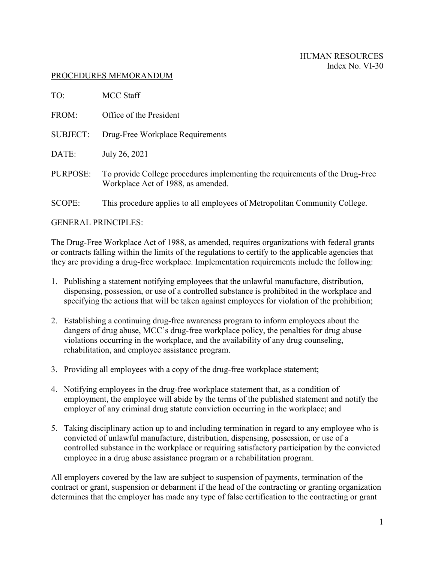## PROCEDURES MEMORANDUM

| TO:                    | <b>MCC Staff</b>                                                                                                   |
|------------------------|--------------------------------------------------------------------------------------------------------------------|
| FROM:                  | Office of the President                                                                                            |
| <b>SUBJECT:</b>        | Drug-Free Workplace Requirements                                                                                   |
| DATE:                  | July 26, 2021                                                                                                      |
| PURPOSE:               | To provide College procedures implementing the requirements of the Drug-Free<br>Workplace Act of 1988, as amended. |
| <b>SCOPE:</b>          | This procedure applies to all employees of Metropolitan Community College.                                         |
| $CCP$ if pontaint $EC$ |                                                                                                                    |

GENERAL PRINCIPLES:

The Drug-Free Workplace Act of 1988, as amended, requires organizations with federal grants or contracts falling within the limits of the regulations to certify to the applicable agencies that they are providing a drug-free workplace. Implementation requirements include the following:

- 1. Publishing a statement notifying employees that the unlawful manufacture, distribution, dispensing, possession, or use of a controlled substance is prohibited in the workplace and specifying the actions that will be taken against employees for violation of the prohibition;
- 2. Establishing a continuing drug-free awareness program to inform employees about the dangers of drug abuse, MCC's drug-free workplace policy, the penalties for drug abuse violations occurring in the workplace, and the availability of any drug counseling, rehabilitation, and employee assistance program.
- 3. Providing all employees with a copy of the drug-free workplace statement;
- 4. Notifying employees in the drug-free workplace statement that, as a condition of employment, the employee will abide by the terms of the published statement and notify the employer of any criminal drug statute conviction occurring in the workplace; and
- 5. Taking disciplinary action up to and including termination in regard to any employee who is convicted of unlawful manufacture, distribution, dispensing, possession, or use of a controlled substance in the workplace or requiring satisfactory participation by the convicted employee in a drug abuse assistance program or a rehabilitation program.

All employers covered by the law are subject to suspension of payments, termination of the contract or grant, suspension or debarment if the head of the contracting or granting organization determines that the employer has made any type of false certification to the contracting or grant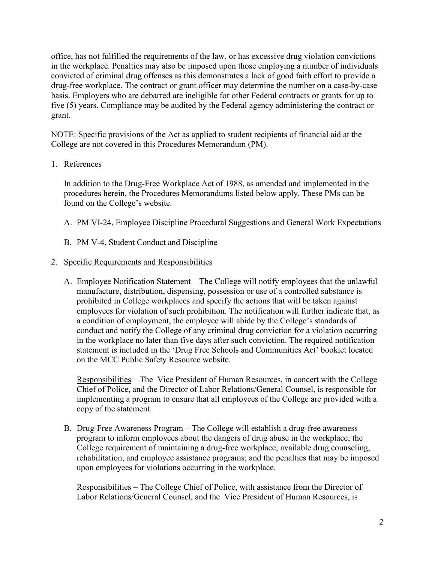office, has not fulfilled the requirements of the law, or has excessive drug violation convictions in the workplace. Penalties may also be imposed upon those employing a number of individuals convicted of criminal drug offenses as this demonstrates a lack of good faith effort to provide a drug-free workplace. The contract or grant officer may determine the number on a case-by-case basis. Employers who are debarred are ineligible for other Federal contracts or grants for up to five (5) years. Compliance may be audited by the Federal agency administering the contract or grant.

NOTE: Specific provisions of the Act as applied to student recipients of financial aid at the College are not covered in this Procedures Memorandum (PM).

## 1. References

In addition to the Drug-Free Workplace Act of 1988, as amended and implemented in the procedures herein, the Procedures Memorandums listed below apply. These PMs can be found on the College's website.

- A. PM VI-24, Employee Discipline Procedural Suggestions and General Work Expectations
- B. PM V-4, Student Conduct and Discipline

## 2. Specific Requirements and Responsibilities

A. Employee Notification Statement – The College will notify employees that the unlawful manufacture, distribution, dispensing, possession or use of a controlled substance is prohibited in College workplaces and specify the actions that will be taken against employees for violation of such prohibition. The notification will further indicate that, as a condition of employment, the employee will abide by the College's standards of conduct and notify the College of any criminal drug conviction for a violation occurring in the workplace no later than five days after such conviction. The required notification statement is included in the 'Drug Free Schools and Communities Act' booklet located on the MCC Public Safety Resource website.

Responsibilities – The Vice President of Human Resources, in concert with the College Chief of Police, and the Director of Labor Relations/General Counsel, is responsible for implementing a program to ensure that all employees of the College are provided with a copy of the statement.

B. Drug-Free Awareness Program – The College will establish a drug-free awareness program to inform employees about the dangers of drug abuse in the workplace; the College requirement of maintaining a drug-free workplace; available drug counseling, rehabilitation, and employee assistance programs; and the penalties that may be imposed upon employees for violations occurring in the workplace.

Responsibilities – The College Chief of Police, with assistance from the Director of Labor Relations/General Counsel, and the Vice President of Human Resources, is